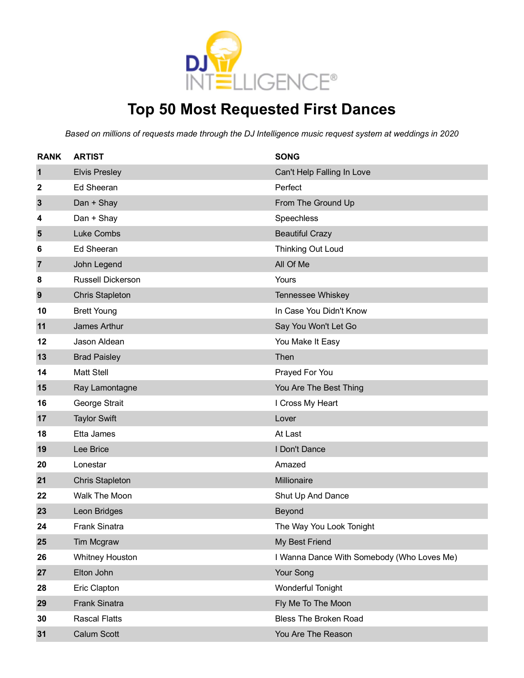

## **Top 50 Most Requested First Dances**

| <b>RANK</b>    | <b>ARTIST</b>          | <b>SONG</b>                                |
|----------------|------------------------|--------------------------------------------|
| $\mathbf{1}$   | <b>Elvis Presley</b>   | Can't Help Falling In Love                 |
| 2              | <b>Ed Sheeran</b>      | Perfect                                    |
| $\mathbf{3}$   | Dan + Shay             | From The Ground Up                         |
| 4              | Dan + Shay             | Speechless                                 |
| 5              | <b>Luke Combs</b>      | <b>Beautiful Crazy</b>                     |
| 6              | <b>Ed Sheeran</b>      | Thinking Out Loud                          |
| $\overline{7}$ | John Legend            | All Of Me                                  |
| 8              | Russell Dickerson      | Yours                                      |
| 9              | <b>Chris Stapleton</b> | Tennessee Whiskey                          |
| 10             | <b>Brett Young</b>     | In Case You Didn't Know                    |
| 11             | <b>James Arthur</b>    | Say You Won't Let Go                       |
| 12             | Jason Aldean           | You Make It Easy                           |
| 13             | <b>Brad Paisley</b>    | Then                                       |
| 14             | <b>Matt Stell</b>      | Prayed For You                             |
| 15             | Ray Lamontagne         | You Are The Best Thing                     |
| 16             | George Strait          | I Cross My Heart                           |
| 17             | <b>Taylor Swift</b>    | Lover                                      |
| 18             | Etta James             | At Last                                    |
| 19             | Lee Brice              | I Don't Dance                              |
| 20             | Lonestar               | Amazed                                     |
| 21             | <b>Chris Stapleton</b> | Millionaire                                |
| 22             | Walk The Moon          | Shut Up And Dance                          |
| 23             | Leon Bridges           | Beyond                                     |
| 24             | <b>Frank Sinatra</b>   | The Way You Look Tonight                   |
| 25             | Tim Mcgraw             | My Best Friend                             |
| 26             | <b>Whitney Houston</b> | I Wanna Dance With Somebody (Who Loves Me) |
| 27             | Elton John             | Your Song                                  |
| 28             | Eric Clapton           | Wonderful Tonight                          |
| 29             | <b>Frank Sinatra</b>   | Fly Me To The Moon                         |
| 30             | <b>Rascal Flatts</b>   | <b>Bless The Broken Road</b>               |
| 31             | Calum Scott            | You Are The Reason                         |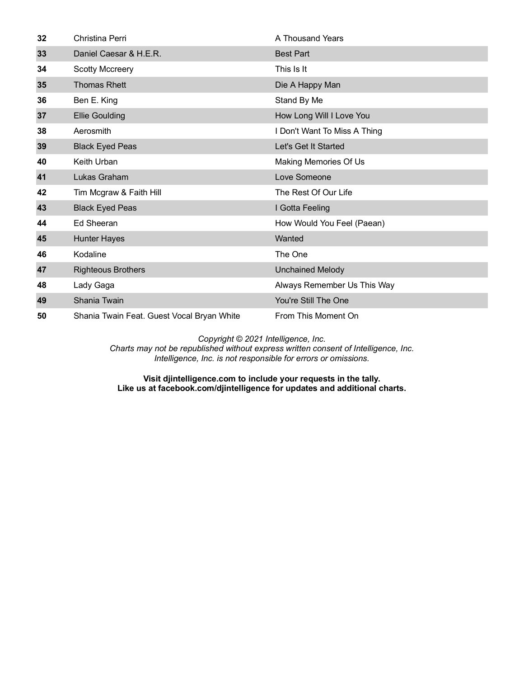| 32 | Christina Perri                            | A Thousand Years             |
|----|--------------------------------------------|------------------------------|
| 33 | Daniel Caesar & H.E.R.                     | <b>Best Part</b>             |
| 34 | <b>Scotty Mccreery</b>                     | This Is It                   |
| 35 | <b>Thomas Rhett</b>                        | Die A Happy Man              |
| 36 | Ben E. King                                | Stand By Me                  |
| 37 | <b>Ellie Goulding</b>                      | How Long Will I Love You     |
| 38 | Aerosmith                                  | I Don't Want To Miss A Thing |
| 39 | <b>Black Eyed Peas</b>                     | Let's Get It Started         |
| 40 | Keith Urban                                | Making Memories Of Us        |
| 41 | Lukas Graham                               | Love Someone                 |
| 42 | Tim Mcgraw & Faith Hill                    | The Rest Of Our Life         |
| 43 | <b>Black Eyed Peas</b>                     | I Gotta Feeling              |
| 44 | Ed Sheeran                                 | How Would You Feel (Paean)   |
| 45 | <b>Hunter Hayes</b>                        | Wanted                       |
| 46 | Kodaline                                   | The One                      |
| 47 | <b>Righteous Brothers</b>                  | <b>Unchained Melody</b>      |
| 48 | Lady Gaga                                  | Always Remember Us This Way  |
| 49 | Shania Twain                               | You're Still The One         |
| 50 | Shania Twain Feat. Guest Vocal Bryan White | From This Moment On          |

*Charts may not be republished without express written consent of Intelligence, Inc. Intelligence, Inc. is not responsible for errors or omissions.*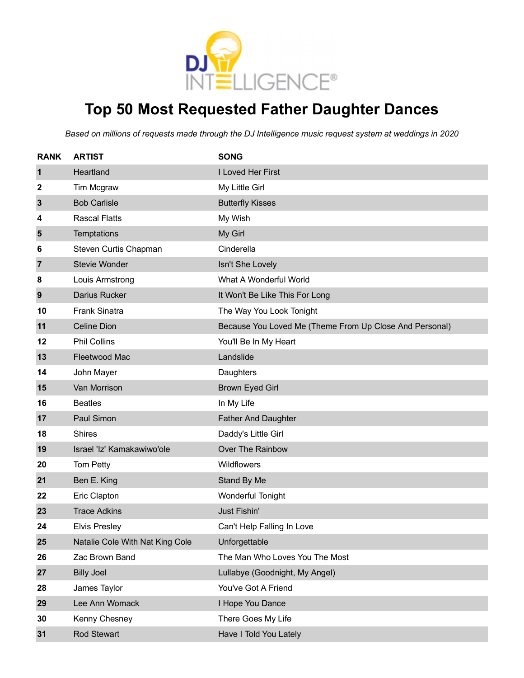

# **Top 50 Most Requested Father Daughter Dances**

| <b>RANK</b> | <b>ARTIST</b>                   | <b>SONG</b>                                             |
|-------------|---------------------------------|---------------------------------------------------------|
| $\mathbf 1$ | Heartland                       | I Loved Her First                                       |
| 2           | Tim Mcgraw                      | My Little Girl                                          |
| 3           | <b>Bob Carlisle</b>             | <b>Butterfly Kisses</b>                                 |
| 4           | <b>Rascal Flatts</b>            | My Wish                                                 |
| 5           | <b>Temptations</b>              | My Girl                                                 |
| 6           | Steven Curtis Chapman           | Cinderella                                              |
| 7           | Stevie Wonder                   | Isn't She Lovely                                        |
| 8           | Louis Armstrong                 | What A Wonderful World                                  |
| 9           | <b>Darius Rucker</b>            | It Won't Be Like This For Long                          |
| 10          | <b>Frank Sinatra</b>            | The Way You Look Tonight                                |
| 11          | <b>Celine Dion</b>              | Because You Loved Me (Theme From Up Close And Personal) |
| 12          | <b>Phil Collins</b>             | You'll Be In My Heart                                   |
| 13          | Fleetwood Mac                   | Landslide                                               |
| 14          | John Mayer                      | Daughters                                               |
| 15          | Van Morrison                    | <b>Brown Eyed Girl</b>                                  |
| 16          | <b>Beatles</b>                  | In My Life                                              |
| 17          | Paul Simon                      | <b>Father And Daughter</b>                              |
| 18          | <b>Shires</b>                   | Daddy's Little Girl                                     |
| 19          | Israel 'Iz' Kamakawiwo'ole      | Over The Rainbow                                        |
| 20          | Tom Petty                       | Wildflowers                                             |
| 21          | Ben E. King                     | Stand By Me                                             |
| 22          | Eric Clapton                    | Wonderful Tonight                                       |
| 23          | <b>Trace Adkins</b>             | Just Fishin'                                            |
| 24          | <b>Elvis Presley</b>            | Can't Help Falling In Love                              |
| 25          | Natalie Cole With Nat King Cole | Unforgettable                                           |
| 26          | Zac Brown Band                  | The Man Who Loves You The Most                          |
| 27          | <b>Billy Joel</b>               | Lullabye (Goodnight, My Angel)                          |
| 28          | James Taylor                    | You've Got A Friend                                     |
| 29          | Lee Ann Womack                  | I Hope You Dance                                        |
| 30          | Kenny Chesney                   | There Goes My Life                                      |
| 31          | <b>Rod Stewart</b>              | Have I Told You Lately                                  |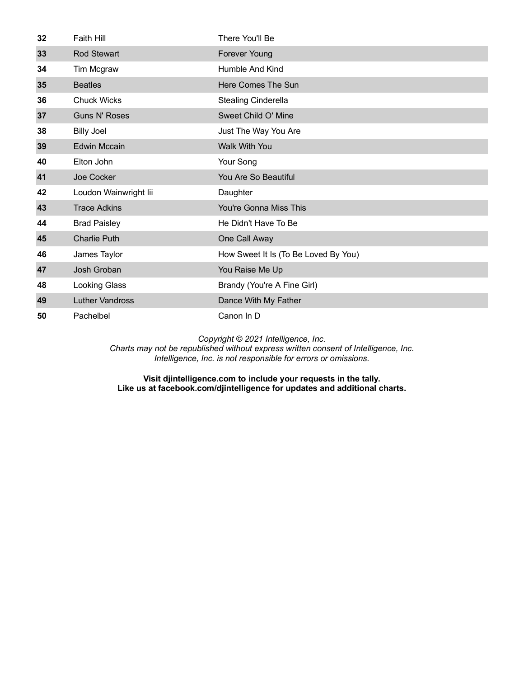| 32 | Faith Hill             | There You'll Be                      |
|----|------------------------|--------------------------------------|
| 33 | <b>Rod Stewart</b>     | <b>Forever Young</b>                 |
| 34 | Tim Mcgraw             | Humble And Kind                      |
| 35 | <b>Beatles</b>         | Here Comes The Sun                   |
| 36 | <b>Chuck Wicks</b>     | Stealing Cinderella                  |
| 37 | <b>Guns N' Roses</b>   | Sweet Child O' Mine                  |
| 38 | <b>Billy Joel</b>      | Just The Way You Are                 |
| 39 | <b>Edwin Mccain</b>    | Walk With You                        |
| 40 | Elton John             | Your Song                            |
| 41 | Joe Cocker             | You Are So Beautiful                 |
| 42 | Loudon Wainwright lii  | Daughter                             |
| 43 | <b>Trace Adkins</b>    | You're Gonna Miss This               |
| 44 | <b>Brad Paisley</b>    | He Didn't Have To Be                 |
| 45 | <b>Charlie Puth</b>    | One Call Away                        |
| 46 | James Taylor           | How Sweet It Is (To Be Loved By You) |
| 47 | Josh Groban            | You Raise Me Up                      |
| 48 | <b>Looking Glass</b>   | Brandy (You're A Fine Girl)          |
| 49 | <b>Luther Vandross</b> | Dance With My Father                 |
| 50 | Pachelbel              | Canon In D                           |

*Charts may not be republished without express written consent of Intelligence, Inc. Intelligence, Inc. is not responsible for errors or omissions.*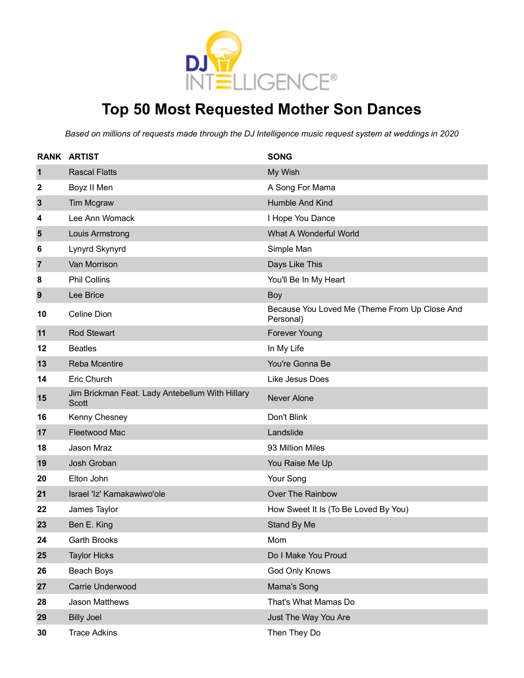

### **Top 50 Most Requested Mother Son Dances**

|                | <b>RANK ARTIST</b>                                       | <b>SONG</b>                                                |
|----------------|----------------------------------------------------------|------------------------------------------------------------|
| $\mathbf{1}$   | <b>Rascal Flatts</b>                                     | My Wish                                                    |
| 2              | Boyz II Men                                              | A Song For Mama                                            |
| $\mathbf{3}$   | Tim Mcgraw                                               | Humble And Kind                                            |
| 4              | Lee Ann Womack                                           | I Hope You Dance                                           |
| 5              | Louis Armstrong                                          | What A Wonderful World                                     |
| 6              | Lynyrd Skynyrd                                           | Simple Man                                                 |
| $\overline{7}$ | Van Morrison                                             | Days Like This                                             |
| 8              | <b>Phil Collins</b>                                      | You'll Be In My Heart                                      |
| 9              | Lee Brice                                                | Boy                                                        |
| 10             | Celine Dion                                              | Because You Loved Me (Theme From Up Close And<br>Personal) |
| 11             | <b>Rod Stewart</b>                                       | <b>Forever Young</b>                                       |
| 12             | <b>Beatles</b>                                           | In My Life                                                 |
| 13             | <b>Reba Mcentire</b>                                     | You're Gonna Be                                            |
| 14             | Eric Church                                              | Like Jesus Does                                            |
| 15             | Jim Brickman Feat. Lady Antebellum With Hillary<br>Scott | <b>Never Alone</b>                                         |
| 16             | Kenny Chesney                                            | Don't Blink                                                |
| 17             | Fleetwood Mac                                            | Landslide                                                  |
| 18             | Jason Mraz                                               | 93 Million Miles                                           |
| 19             | Josh Groban                                              | You Raise Me Up                                            |
| 20             | Elton John                                               | Your Song                                                  |
| 21             | Israel 'Iz' Kamakawiwo'ole                               | Over The Rainbow                                           |
| 22             | James Taylor                                             | How Sweet It Is (To Be Loved By You)                       |
| 23             | Ben E. King                                              | Stand By Me                                                |
| 24             | <b>Garth Brooks</b>                                      | Mom                                                        |
| 25             | <b>Taylor Hicks</b>                                      | Do I Make You Proud                                        |
| 26             | Beach Boys                                               | God Only Knows                                             |
| 27             | Carrie Underwood                                         | Mama's Song                                                |
| 28             | <b>Jason Matthews</b>                                    | That's What Mamas Do                                       |
| 29             | <b>Billy Joel</b>                                        | Just The Way You Are                                       |
| 30             | <b>Trace Adkins</b>                                      | Then They Do                                               |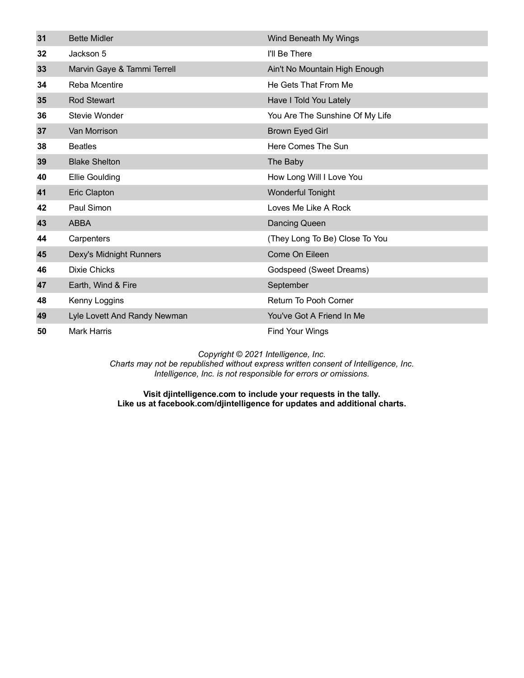| 31 | <b>Bette Midler</b>          | Wind Beneath My Wings           |
|----|------------------------------|---------------------------------|
| 32 | Jackson 5                    | I'll Be There                   |
| 33 | Marvin Gaye & Tammi Terrell  | Ain't No Mountain High Enough   |
| 34 | <b>Reba Mcentire</b>         | He Gets That From Me            |
| 35 | <b>Rod Stewart</b>           | Have I Told You Lately          |
| 36 | Stevie Wonder                | You Are The Sunshine Of My Life |
| 37 | Van Morrison                 | <b>Brown Eyed Girl</b>          |
| 38 | <b>Beatles</b>               | Here Comes The Sun              |
| 39 | <b>Blake Shelton</b>         | The Baby                        |
| 40 | <b>Ellie Goulding</b>        | How Long Will I Love You        |
| 41 | Eric Clapton                 | <b>Wonderful Tonight</b>        |
| 42 | Paul Simon                   | Loves Me Like A Rock            |
| 43 | <b>ABBA</b>                  | Dancing Queen                   |
| 44 | Carpenters                   | (They Long To Be) Close To You  |
| 45 | Dexy's Midnight Runners      | Come On Eileen                  |
| 46 | <b>Dixie Chicks</b>          | Godspeed (Sweet Dreams)         |
| 47 | Earth, Wind & Fire           | September                       |
| 48 | Kenny Loggins                | Return To Pooh Corner           |
| 49 | Lyle Lovett And Randy Newman | You've Got A Friend In Me       |
| 50 | <b>Mark Harris</b>           | Find Your Wings                 |

*Charts may not be republished without express written consent of Intelligence, Inc. Intelligence, Inc. is not responsible for errors or omissions.*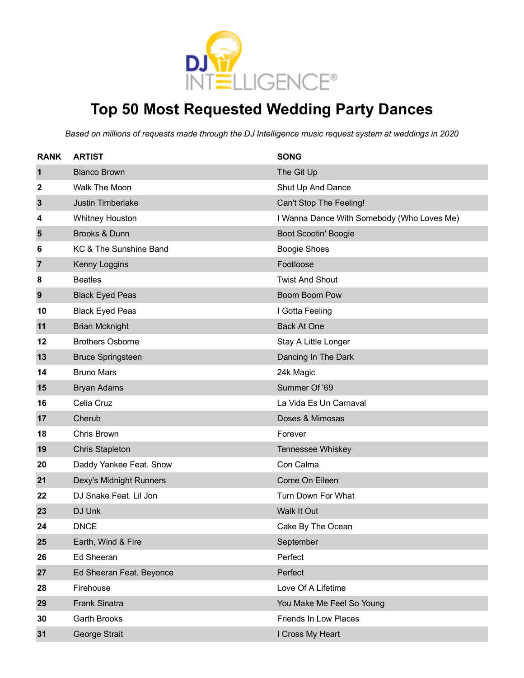

### **Top 50 Most Requested Wedding Party Dances**

| <b>RANK</b>    | <b>ARTIST</b>            | <b>SONG</b>                                |
|----------------|--------------------------|--------------------------------------------|
| $\mathbf 1$    | <b>Blanco Brown</b>      | The Git Up                                 |
| 2              | Walk The Moon            | Shut Up And Dance                          |
| $\mathbf{3}$   | Justin Timberlake        | Can't Stop The Feeling!                    |
| 4              | <b>Whitney Houston</b>   | I Wanna Dance With Somebody (Who Loves Me) |
| 5              | Brooks & Dunn            | Boot Scootin' Boogie                       |
| 6              | KC & The Sunshine Band   | <b>Boogie Shoes</b>                        |
| $\overline{7}$ | Kenny Loggins            | Footloose                                  |
| 8              | <b>Beatles</b>           | <b>Twist And Shout</b>                     |
| 9              | <b>Black Eyed Peas</b>   | Boom Boom Pow                              |
| 10             | <b>Black Eyed Peas</b>   | I Gotta Feeling                            |
| 11             | <b>Brian Mcknight</b>    | <b>Back At One</b>                         |
| 12             | <b>Brothers Osborne</b>  | Stay A Little Longer                       |
| 13             | <b>Bruce Springsteen</b> | Dancing In The Dark                        |
| 14             | <b>Bruno Mars</b>        | 24k Magic                                  |
| 15             | <b>Bryan Adams</b>       | Summer Of '69                              |
| 16             | Celia Cruz               | La Vida Es Un Carnaval                     |
| 17             | Cherub                   | Doses & Mimosas                            |
| 18             | Chris Brown              | Forever                                    |
| 19             | <b>Chris Stapleton</b>   | Tennessee Whiskey                          |
| 20             | Daddy Yankee Feat. Snow  | Con Calma                                  |
| 21             | Dexy's Midnight Runners  | Come On Eileen                             |
| 22             | DJ Snake Feat. Lil Jon   | Turn Down For What                         |
| 23             | DJ Unk                   | Walk It Out                                |
| 24             | <b>DNCE</b>              | Cake By The Ocean                          |
| 25             | Earth, Wind & Fire       | September                                  |
| 26             | <b>Ed Sheeran</b>        | Perfect                                    |
| 27             | Ed Sheeran Feat. Beyonce | Perfect                                    |
| 28             | Firehouse                | Love Of A Lifetime                         |
| 29             | <b>Frank Sinatra</b>     | You Make Me Feel So Young                  |
| 30             | Garth Brooks             | Friends In Low Places                      |
| 31             | George Strait            | I Cross My Heart                           |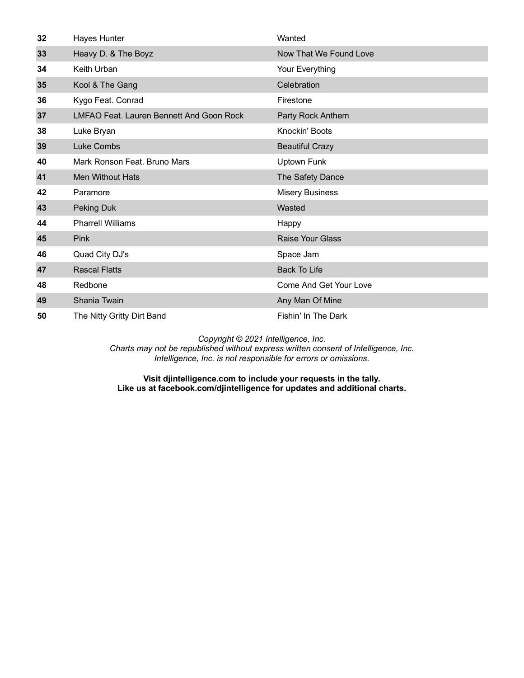| 32 | Hayes Hunter                             | Wanted                  |
|----|------------------------------------------|-------------------------|
| 33 | Heavy D. & The Boyz                      | Now That We Found Love  |
| 34 | Keith Urban                              | Your Everything         |
| 35 | Kool & The Gang                          | Celebration             |
| 36 | Kygo Feat. Conrad                        | Firestone               |
| 37 | LMFAO Feat. Lauren Bennett And Goon Rock | Party Rock Anthem       |
| 38 | Luke Bryan                               | Knockin' Boots          |
| 39 | Luke Combs                               | <b>Beautiful Crazy</b>  |
| 40 | Mark Ronson Feat, Bruno Mars             | Uptown Funk             |
| 41 | <b>Men Without Hats</b>                  | The Safety Dance        |
| 42 | Paramore                                 | <b>Misery Business</b>  |
| 43 | Peking Duk                               | Wasted                  |
| 44 | <b>Pharrell Williams</b>                 | Happy                   |
| 45 | Pink                                     | <b>Raise Your Glass</b> |
| 46 | Quad City DJ's                           | Space Jam               |
| 47 | <b>Rascal Flatts</b>                     | <b>Back To Life</b>     |
| 48 | Redbone                                  | Come And Get Your Love  |
| 49 | Shania Twain                             | Any Man Of Mine         |
| 50 | The Nitty Gritty Dirt Band               | Fishin' In The Dark     |

*Charts may not be republished without express written consent of Intelligence, Inc. Intelligence, Inc. is not responsible for errors or omissions.*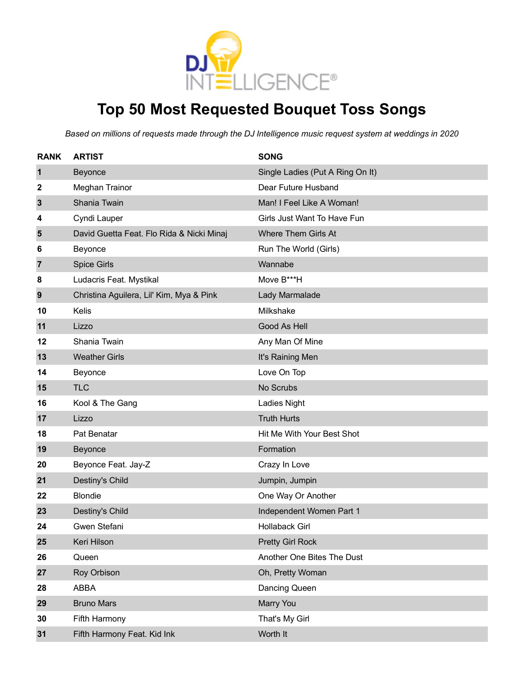

### **Top 50 Most Requested Bouquet Toss Songs**

| <b>RANK</b>    | <b>ARTIST</b>                             | <b>SONG</b>                      |
|----------------|-------------------------------------------|----------------------------------|
| 1              | Beyonce                                   | Single Ladies (Put A Ring On It) |
| 2              | Meghan Trainor                            | Dear Future Husband              |
| $\mathbf{3}$   | Shania Twain                              | Man! I Feel Like A Woman!        |
| 4              | Cyndi Lauper                              | Girls Just Want To Have Fun      |
| 5              | David Guetta Feat. Flo Rida & Nicki Minaj | Where Them Girls At              |
| 6              | Beyonce                                   | Run The World (Girls)            |
| $\overline{7}$ | <b>Spice Girls</b>                        | Wannabe                          |
| 8              | Ludacris Feat. Mystikal                   | Move B***H                       |
| 9              | Christina Aguilera, Lil' Kim, Mya & Pink  | Lady Marmalade                   |
| 10             | Kelis                                     | Milkshake                        |
| 11             | Lizzo                                     | Good As Hell                     |
| 12             | Shania Twain                              | Any Man Of Mine                  |
| 13             | <b>Weather Girls</b>                      | It's Raining Men                 |
| 14             | Beyonce                                   | Love On Top                      |
| 15             | <b>TLC</b>                                | No Scrubs                        |
| 16             | Kool & The Gang                           | Ladies Night                     |
| 17             | Lizzo                                     | <b>Truth Hurts</b>               |
| 18             | Pat Benatar                               | Hit Me With Your Best Shot       |
| 19             | Beyonce                                   | Formation                        |
| 20             | Beyonce Feat. Jay-Z                       | Crazy In Love                    |
| 21             | Destiny's Child                           | Jumpin, Jumpin                   |
| 22             | <b>Blondie</b>                            | One Way Or Another               |
| 23             | Destiny's Child                           | Independent Women Part 1         |
| 24             | Gwen Stefani                              | <b>Hollaback Girl</b>            |
| 25             | Keri Hilson                               | <b>Pretty Girl Rock</b>          |
| 26             | Queen                                     | Another One Bites The Dust       |
| 27             | Roy Orbison                               | Oh, Pretty Woman                 |
| 28             | <b>ABBA</b>                               | Dancing Queen                    |
| 29             | <b>Bruno Mars</b>                         | Marry You                        |
| 30             | Fifth Harmony                             | That's My Girl                   |
| 31             | Fifth Harmony Feat. Kid Ink               | Worth It                         |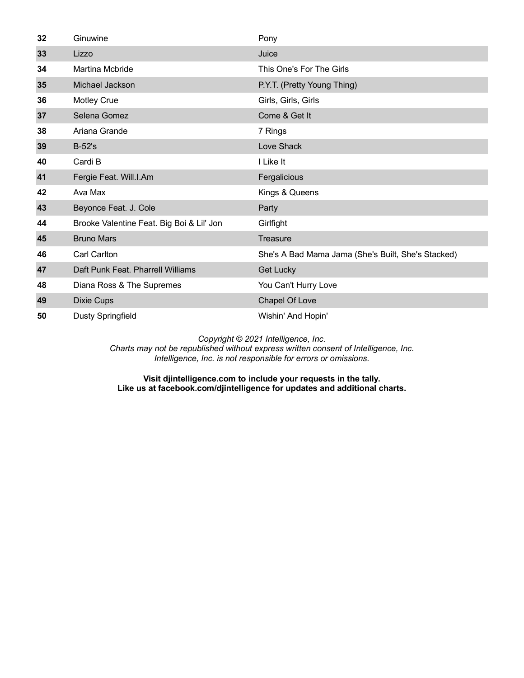| 32 | Ginuwine                                  | Pony                                               |
|----|-------------------------------------------|----------------------------------------------------|
| 33 | Lizzo                                     | Juice                                              |
| 34 | <b>Martina Mcbride</b>                    | This One's For The Girls                           |
| 35 | Michael Jackson                           | P.Y.T. (Pretty Young Thing)                        |
| 36 | <b>Motley Crue</b>                        | Girls, Girls, Girls                                |
| 37 | Selena Gomez                              | Come & Get It                                      |
| 38 | Ariana Grande                             | 7 Rings                                            |
| 39 | <b>B-52's</b>                             | Love Shack                                         |
| 40 | Cardi B                                   | I Like It                                          |
| 41 | Fergie Feat. Will.I.Am                    | Fergalicious                                       |
| 42 | Ava Max                                   | Kings & Queens                                     |
| 43 | Beyonce Feat. J. Cole                     | Party                                              |
| 44 | Brooke Valentine Feat. Big Boi & Lil' Jon | Girlfight                                          |
| 45 | <b>Bruno Mars</b>                         | Treasure                                           |
| 46 | <b>Carl Carlton</b>                       | She's A Bad Mama Jama (She's Built, She's Stacked) |
| 47 | Daft Punk Feat. Pharrell Williams         | <b>Get Lucky</b>                                   |
| 48 | Diana Ross & The Supremes                 | You Can't Hurry Love                               |
| 49 | <b>Dixie Cups</b>                         | <b>Chapel Of Love</b>                              |
| 50 | <b>Dusty Springfield</b>                  | Wishin' And Hopin'                                 |

*Charts may not be republished without express written consent of Intelligence, Inc. Intelligence, Inc. is not responsible for errors or omissions.*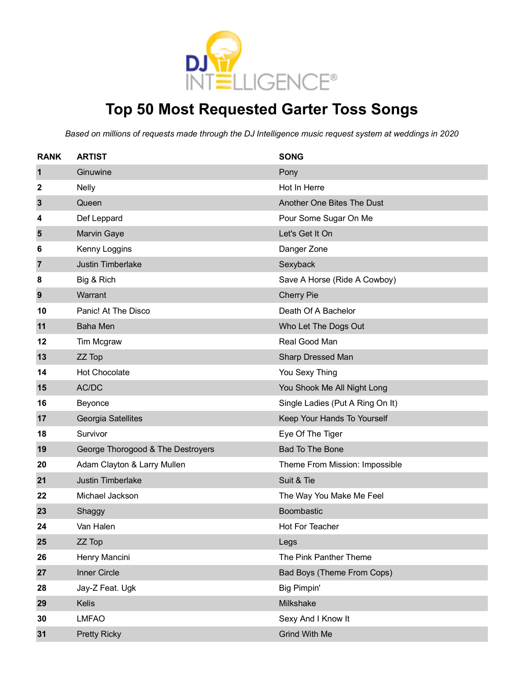

### **Top 50 Most Requested Garter Toss Songs**

| <b>RANK</b>  | <b>ARTIST</b>                     | <b>SONG</b>                      |
|--------------|-----------------------------------|----------------------------------|
| 1            | Ginuwine                          | Pony                             |
| 2            | <b>Nelly</b>                      | Hot In Herre                     |
| $\mathbf{3}$ | Queen                             | Another One Bites The Dust       |
| 4            | Def Leppard                       | Pour Some Sugar On Me            |
| 5            | <b>Marvin Gaye</b>                | Let's Get It On                  |
| 6            | Kenny Loggins                     | Danger Zone                      |
| 7            | <b>Justin Timberlake</b>          | Sexyback                         |
| 8            | Big & Rich                        | Save A Horse (Ride A Cowboy)     |
| 9            | Warrant                           | <b>Cherry Pie</b>                |
| 10           | Panic! At The Disco               | Death Of A Bachelor              |
| 11           | <b>Baha Men</b>                   | Who Let The Dogs Out             |
| 12           | Tim Mcgraw                        | Real Good Man                    |
| 13           | ZZ Top                            | Sharp Dressed Man                |
| 14           | <b>Hot Chocolate</b>              | You Sexy Thing                   |
| 15           | AC/DC                             | You Shook Me All Night Long      |
| 16           | Beyonce                           | Single Ladies (Put A Ring On It) |
| 17           | Georgia Satellites                | Keep Your Hands To Yourself      |
| 18           | Survivor                          | Eye Of The Tiger                 |
| 19           | George Thorogood & The Destroyers | <b>Bad To The Bone</b>           |
| 20           | Adam Clayton & Larry Mullen       | Theme From Mission: Impossible   |
| 21           | <b>Justin Timberlake</b>          | Suit & Tie                       |
| 22           | Michael Jackson                   | The Way You Make Me Feel         |
| 23           | Shaggy                            | Boombastic                       |
| 24           | Van Halen                         | Hot For Teacher                  |
| 25           | ZZ Top                            | Legs                             |
| 26           | Henry Mancini                     | The Pink Panther Theme           |
| 27           | Inner Circle                      | Bad Boys (Theme From Cops)       |
| 28           | Jay-Z Feat. Ugk                   | <b>Big Pimpin'</b>               |
| 29           | Kelis                             | Milkshake                        |
| 30           | <b>LMFAO</b>                      | Sexy And I Know It               |
| 31           | <b>Pretty Ricky</b>               | <b>Grind With Me</b>             |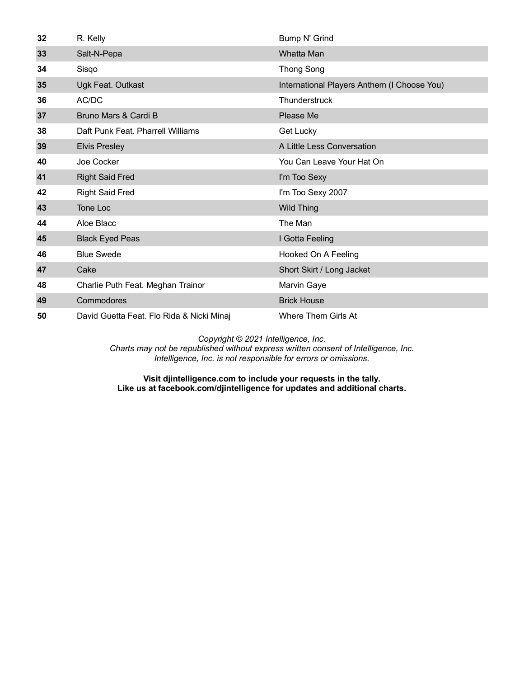| 32 | R. Kelly                                  | Bump N' Grind                               |
|----|-------------------------------------------|---------------------------------------------|
| 33 | Salt-N-Pepa                               | Whatta Man                                  |
| 34 | Sisqo                                     | <b>Thong Song</b>                           |
| 35 | Ugk Feat. Outkast                         | International Players Anthem (I Choose You) |
| 36 | AC/DC                                     | Thunderstruck                               |
| 37 | Bruno Mars & Cardi B                      | Please Me                                   |
| 38 | Daft Punk Feat. Pharrell Williams         | Get Lucky                                   |
| 39 | <b>Elvis Presley</b>                      | A Little Less Conversation                  |
| 40 | Joe Cocker                                | You Can Leave Your Hat On                   |
| 41 | <b>Right Said Fred</b>                    | I'm Too Sexy                                |
| 42 | <b>Right Said Fred</b>                    | I'm Too Sexy 2007                           |
| 43 | Tone Loc                                  | <b>Wild Thing</b>                           |
| 44 | Aloe Blacc                                | The Man                                     |
| 45 | <b>Black Eyed Peas</b>                    | I Gotta Feeling                             |
| 46 | <b>Blue Swede</b>                         | Hooked On A Feeling                         |
| 47 | Cake                                      | Short Skirt / Long Jacket                   |
| 48 | Charlie Puth Feat. Meghan Trainor         | Marvin Gaye                                 |
| 49 | Commodores                                | <b>Brick House</b>                          |
| 50 | David Guetta Feat. Flo Rida & Nicki Minaj | Where Them Girls At                         |

*Charts may not be republished without express written consent of Intelligence, Inc. Intelligence, Inc. is not responsible for errors or omissions.*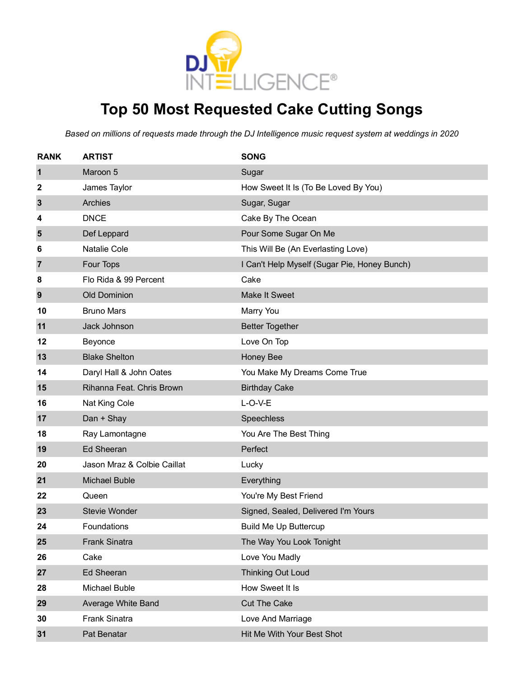

### **Top 50 Most Requested Cake Cutting Songs**

| <b>RANK</b> | <b>ARTIST</b>               | <b>SONG</b>                                  |
|-------------|-----------------------------|----------------------------------------------|
| 1           | Maroon 5                    | Sugar                                        |
| 2           | James Taylor                | How Sweet It Is (To Be Loved By You)         |
| 3           | Archies                     | Sugar, Sugar                                 |
| 4           | <b>DNCE</b>                 | Cake By The Ocean                            |
| 5           | Def Leppard                 | Pour Some Sugar On Me                        |
| 6           | Natalie Cole                | This Will Be (An Everlasting Love)           |
| 7           | Four Tops                   | I Can't Help Myself (Sugar Pie, Honey Bunch) |
| 8           | Flo Rida & 99 Percent       | Cake                                         |
| 9           | <b>Old Dominion</b>         | <b>Make It Sweet</b>                         |
| 10          | <b>Bruno Mars</b>           | Marry You                                    |
| 11          | Jack Johnson                | <b>Better Together</b>                       |
| 12          | Beyonce                     | Love On Top                                  |
| 13          | <b>Blake Shelton</b>        | Honey Bee                                    |
| 14          | Daryl Hall & John Oates     | You Make My Dreams Come True                 |
| 15          | Rihanna Feat. Chris Brown   | <b>Birthday Cake</b>                         |
| 16          | Nat King Cole               | $L-O-V-E$                                    |
| 17          | Dan + Shay                  | Speechless                                   |
| 18          | Ray Lamontagne              | You Are The Best Thing                       |
| 19          | <b>Ed Sheeran</b>           | Perfect                                      |
| 20          | Jason Mraz & Colbie Caillat | Lucky                                        |
| 21          | <b>Michael Buble</b>        | Everything                                   |
| 22          | Queen                       | You're My Best Friend                        |
| 23          | <b>Stevie Wonder</b>        | Signed, Sealed, Delivered I'm Yours          |
| 24          | Foundations                 | <b>Build Me Up Buttercup</b>                 |
| 25          | <b>Frank Sinatra</b>        | The Way You Look Tonight                     |
| 26          | Cake                        | Love You Madly                               |
| 27          | <b>Ed Sheeran</b>           | <b>Thinking Out Loud</b>                     |
| 28          | Michael Buble               | How Sweet It Is                              |
| 29          | Average White Band          | <b>Cut The Cake</b>                          |
| 30          | Frank Sinatra               | Love And Marriage                            |
| 31          | Pat Benatar                 | Hit Me With Your Best Shot                   |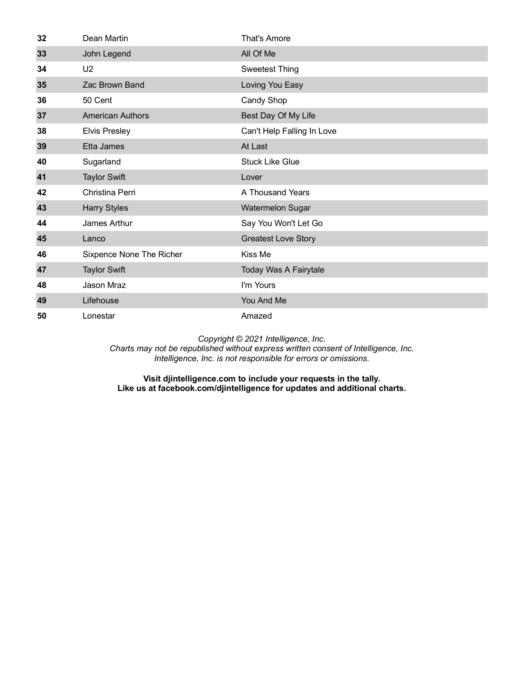| 32 | Dean Martin              | That's Amore               |
|----|--------------------------|----------------------------|
| 33 | John Legend              | All Of Me                  |
| 34 | U <sub>2</sub>           | <b>Sweetest Thing</b>      |
| 35 | Zac Brown Band           | Loving You Easy            |
| 36 | 50 Cent                  | Candy Shop                 |
| 37 | <b>American Authors</b>  | Best Day Of My Life        |
| 38 | <b>Elvis Presley</b>     | Can't Help Falling In Love |
| 39 | Etta James               | At Last                    |
| 40 | Sugarland                | <b>Stuck Like Glue</b>     |
| 41 | <b>Taylor Swift</b>      | Lover                      |
| 42 | Christina Perri          | A Thousand Years           |
| 43 | <b>Harry Styles</b>      | <b>Watermelon Sugar</b>    |
| 44 | James Arthur             | Say You Won't Let Go       |
| 45 | Lanco                    | <b>Greatest Love Story</b> |
| 46 | Sixpence None The Richer | Kiss Me                    |
| 47 | <b>Taylor Swift</b>      | Today Was A Fairytale      |
| 48 | <b>Jason Mraz</b>        | I'm Yours                  |
| 49 | Lifehouse                | You And Me                 |
| 50 | Lonestar                 | Amazed                     |

*Charts may not be republished without express written consent of Intelligence, Inc. Intelligence, Inc. is not responsible for errors or omissions.*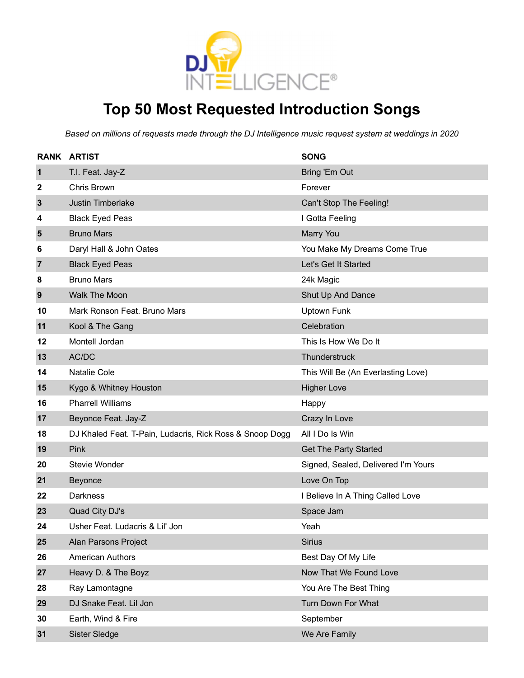

### **Top 50 Most Requested Introduction Songs**

|                | <b>RANK ARTIST</b>                                       | <b>SONG</b>                         |
|----------------|----------------------------------------------------------|-------------------------------------|
| $\mathbf 1$    | T.I. Feat. Jay-Z                                         | <b>Bring 'Em Out</b>                |
| 2              | Chris Brown                                              | Forever                             |
| $\mathbf{3}$   | Justin Timberlake                                        | Can't Stop The Feeling!             |
| 4              | <b>Black Eyed Peas</b>                                   | I Gotta Feeling                     |
| 5              | <b>Bruno Mars</b>                                        | Marry You                           |
| 6              | Daryl Hall & John Oates                                  | You Make My Dreams Come True        |
| $\overline{7}$ | <b>Black Eyed Peas</b>                                   | Let's Get It Started                |
| 8              | <b>Bruno Mars</b>                                        | 24k Magic                           |
| 9              | Walk The Moon                                            | Shut Up And Dance                   |
| 10             | Mark Ronson Feat. Bruno Mars                             | <b>Uptown Funk</b>                  |
| 11             | Kool & The Gang                                          | Celebration                         |
| 12             | Montell Jordan                                           | This Is How We Do It                |
| 13             | AC/DC                                                    | Thunderstruck                       |
| 14             | Natalie Cole                                             | This Will Be (An Everlasting Love)  |
| 15             | Kygo & Whitney Houston                                   | <b>Higher Love</b>                  |
| 16             | <b>Pharrell Williams</b>                                 | Happy                               |
| 17             | Beyonce Feat. Jay-Z                                      | Crazy In Love                       |
| 18             | DJ Khaled Feat. T-Pain, Ludacris, Rick Ross & Snoop Dogg | All I Do Is Win                     |
| 19             | Pink                                                     | <b>Get The Party Started</b>        |
| 20             | <b>Stevie Wonder</b>                                     | Signed, Sealed, Delivered I'm Yours |
| 21             | Beyonce                                                  | Love On Top                         |
| 22             | Darkness                                                 | I Believe In A Thing Called Love    |
| 23             | Quad City DJ's                                           | Space Jam                           |
| 24             | Usher Feat. Ludacris & Lil' Jon                          | Yeah                                |
| 25             | Alan Parsons Project                                     | <b>Sirius</b>                       |
| 26             | <b>American Authors</b>                                  | Best Day Of My Life                 |
| 27             | Heavy D. & The Boyz                                      | Now That We Found Love              |
| 28             | Ray Lamontagne                                           | You Are The Best Thing              |
| 29             | DJ Snake Feat. Lil Jon                                   | Turn Down For What                  |
| 30             | Earth, Wind & Fire                                       | September                           |
| 31             | Sister Sledge                                            | We Are Family                       |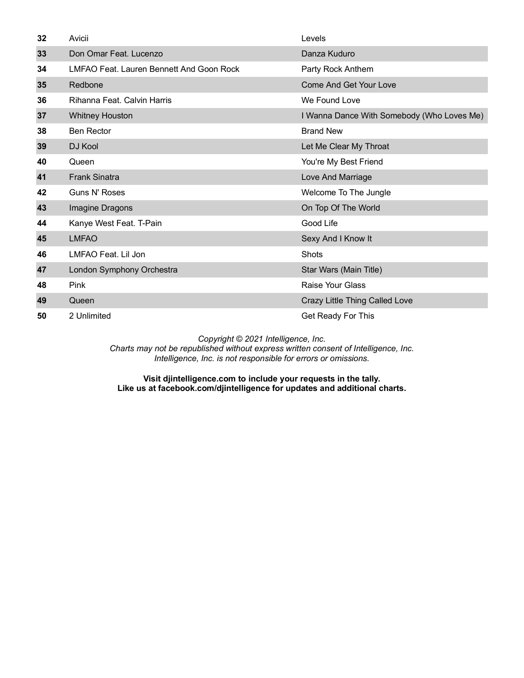| 32 | Avicii                                   | Levels                                     |
|----|------------------------------------------|--------------------------------------------|
| 33 | Don Omar Feat. Lucenzo                   | Danza Kuduro                               |
| 34 | LMFAO Feat. Lauren Bennett And Goon Rock | Party Rock Anthem                          |
| 35 | Redbone                                  | <b>Come And Get Your Love</b>              |
| 36 | Rihanna Feat, Calvin Harris              | We Found Love                              |
| 37 | <b>Whitney Houston</b>                   | I Wanna Dance With Somebody (Who Loves Me) |
| 38 | <b>Ben Rector</b>                        | <b>Brand New</b>                           |
| 39 | DJ Kool                                  | Let Me Clear My Throat                     |
| 40 | Queen                                    | You're My Best Friend                      |
| 41 | <b>Frank Sinatra</b>                     | Love And Marriage                          |
| 42 | Guns N' Roses                            | Welcome To The Jungle                      |
| 43 | Imagine Dragons                          | On Top Of The World                        |
| 44 | Kanye West Feat. T-Pain                  | Good Life                                  |
| 45 | <b>LMFAO</b>                             | Sexy And I Know It                         |
| 46 | LMFAO Feat. Lil Jon                      | <b>Shots</b>                               |
| 47 | London Symphony Orchestra                | Star Wars (Main Title)                     |
| 48 | <b>Pink</b>                              | Raise Your Glass                           |
| 49 | Queen                                    | Crazy Little Thing Called Love             |
| 50 | 2 Unlimited                              | Get Ready For This                         |

*Charts may not be republished without express written consent of Intelligence, Inc. Intelligence, Inc. is not responsible for errors or omissions.*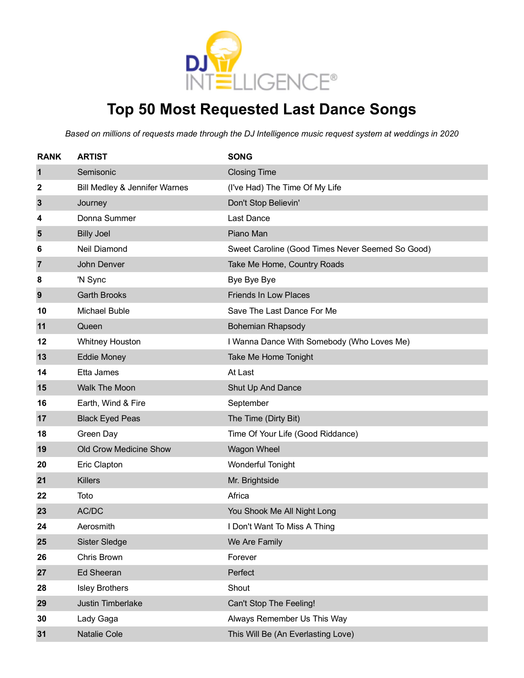

### **Top 50 Most Requested Last Dance Songs**

| <b>RANK</b>    | <b>ARTIST</b>                 | <b>SONG</b>                                      |
|----------------|-------------------------------|--------------------------------------------------|
| 1              | Semisonic                     | <b>Closing Time</b>                              |
| 2              | Bill Medley & Jennifer Warnes | (I've Had) The Time Of My Life                   |
| 3              | Journey                       | Don't Stop Believin'                             |
| 4              | Donna Summer                  | Last Dance                                       |
| 5              | <b>Billy Joel</b>             | Piano Man                                        |
| 6              | Neil Diamond                  | Sweet Caroline (Good Times Never Seemed So Good) |
| $\overline{7}$ | John Denver                   | Take Me Home, Country Roads                      |
| 8              | 'N Sync                       | Bye Bye Bye                                      |
| 9              | <b>Garth Brooks</b>           | <b>Friends In Low Places</b>                     |
| 10             | Michael Buble                 | Save The Last Dance For Me                       |
| 11             | Queen                         | <b>Bohemian Rhapsody</b>                         |
| 12             | <b>Whitney Houston</b>        | I Wanna Dance With Somebody (Who Loves Me)       |
| 13             | <b>Eddie Money</b>            | Take Me Home Tonight                             |
| 14             | Etta James                    | At Last                                          |
| 15             | <b>Walk The Moon</b>          | Shut Up And Dance                                |
| 16             | Earth, Wind & Fire            | September                                        |
| 17             | <b>Black Eyed Peas</b>        | The Time (Dirty Bit)                             |
| 18             | Green Day                     | Time Of Your Life (Good Riddance)                |
| 19             | Old Crow Medicine Show        | <b>Wagon Wheel</b>                               |
| 20             | Eric Clapton                  | <b>Wonderful Tonight</b>                         |
| 21             | <b>Killers</b>                | Mr. Brightside                                   |
| 22             | Toto                          | Africa                                           |
| 23             | AC/DC                         | You Shook Me All Night Long                      |
| 24             | Aerosmith                     | I Don't Want To Miss A Thing                     |
| 25             | <b>Sister Sledge</b>          | We Are Family                                    |
| 26             | Chris Brown                   | Forever                                          |
| 27             | Ed Sheeran                    | Perfect                                          |
| 28             | <b>Isley Brothers</b>         | Shout                                            |
| 29             | Justin Timberlake             | Can't Stop The Feeling!                          |
| 30             | Lady Gaga                     | Always Remember Us This Way                      |
| 31             | Natalie Cole                  | This Will Be (An Everlasting Love)               |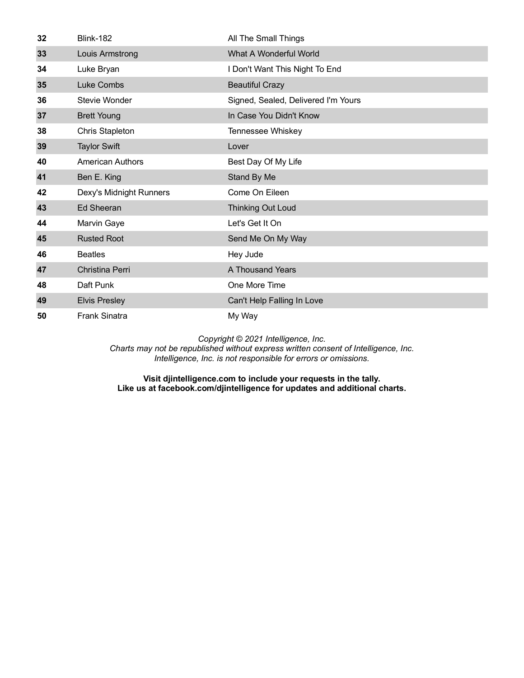| 32 | <b>Blink-182</b>        | All The Small Things                |
|----|-------------------------|-------------------------------------|
| 33 | Louis Armstrong         | What A Wonderful World              |
| 34 | Luke Bryan              | I Don't Want This Night To End      |
| 35 | Luke Combs              | <b>Beautiful Crazy</b>              |
| 36 | Stevie Wonder           | Signed, Sealed, Delivered I'm Yours |
| 37 | <b>Brett Young</b>      | In Case You Didn't Know             |
| 38 | <b>Chris Stapleton</b>  | Tennessee Whiskey                   |
| 39 | <b>Taylor Swift</b>     | Lover                               |
| 40 | <b>American Authors</b> | Best Day Of My Life                 |
| 41 | Ben E. King             | Stand By Me                         |
| 42 | Dexy's Midnight Runners | Come On Eileen                      |
| 43 | <b>Ed Sheeran</b>       | <b>Thinking Out Loud</b>            |
| 44 | Marvin Gaye             | Let's Get It On                     |
| 45 | <b>Rusted Root</b>      | Send Me On My Way                   |
| 46 | <b>Beatles</b>          | Hey Jude                            |
| 47 | Christina Perri         | A Thousand Years                    |
| 48 | Daft Punk               | One More Time                       |
| 49 | <b>Elvis Presley</b>    | Can't Help Falling In Love          |
| 50 | <b>Frank Sinatra</b>    | My Way                              |

*Charts may not be republished without express written consent of Intelligence, Inc. Intelligence, Inc. is not responsible for errors or omissions.*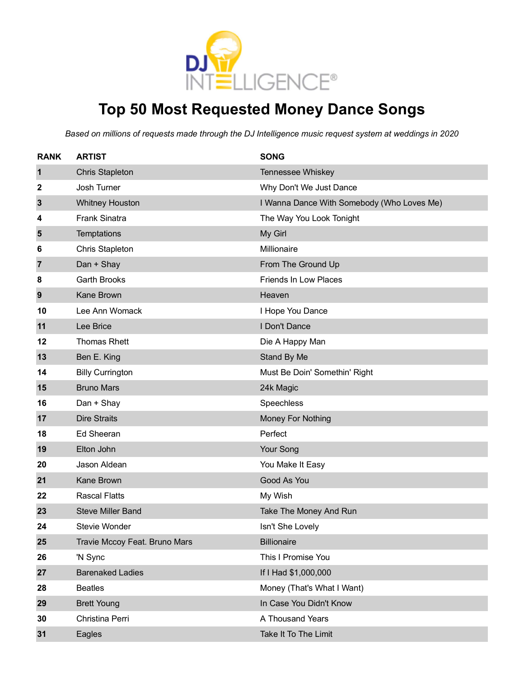

### **Top 50 Most Requested Money Dance Songs**

| <b>RANK</b>  | <b>ARTIST</b>                 | <b>SONG</b>                                |
|--------------|-------------------------------|--------------------------------------------|
| $\mathbf{1}$ | <b>Chris Stapleton</b>        | Tennessee Whiskey                          |
| 2            | Josh Turner                   | Why Don't We Just Dance                    |
| $\mathbf{3}$ | <b>Whitney Houston</b>        | I Wanna Dance With Somebody (Who Loves Me) |
| 4            | <b>Frank Sinatra</b>          | The Way You Look Tonight                   |
| 5            | Temptations                   | My Girl                                    |
| 6            | Chris Stapleton               | Millionaire                                |
| 7            | Dan + Shay                    | From The Ground Up                         |
| 8            | <b>Garth Brooks</b>           | <b>Friends In Low Places</b>               |
| 9            | Kane Brown                    | Heaven                                     |
| 10           | Lee Ann Womack                | I Hope You Dance                           |
| 11           | Lee Brice                     | I Don't Dance                              |
| 12           | <b>Thomas Rhett</b>           | Die A Happy Man                            |
| 13           | Ben E. King                   | Stand By Me                                |
| 14           | <b>Billy Currington</b>       | Must Be Doin' Somethin' Right              |
| 15           | <b>Bruno Mars</b>             | 24k Magic                                  |
| 16           | Dan + Shay                    | Speechless                                 |
| 17           | <b>Dire Straits</b>           | Money For Nothing                          |
| 18           | <b>Ed Sheeran</b>             | Perfect                                    |
| 19           | Elton John                    | Your Song                                  |
| 20           | Jason Aldean                  | You Make It Easy                           |
| 21           | Kane Brown                    | Good As You                                |
| 22           | <b>Rascal Flatts</b>          | My Wish                                    |
| 23           | <b>Steve Miller Band</b>      | Take The Money And Run                     |
| 24           | Stevie Wonder                 | Isn't She Lovely                           |
| 25           | Travie Mccoy Feat. Bruno Mars | <b>Billionaire</b>                         |
| 26           | 'N Sync                       | This I Promise You                         |
| 27           | <b>Barenaked Ladies</b>       | If I Had \$1,000,000                       |
| 28           | <b>Beatles</b>                | Money (That's What I Want)                 |
| 29           | <b>Brett Young</b>            | In Case You Didn't Know                    |
| 30           | Christina Perri               | A Thousand Years                           |
| 31           | Eagles                        | Take It To The Limit                       |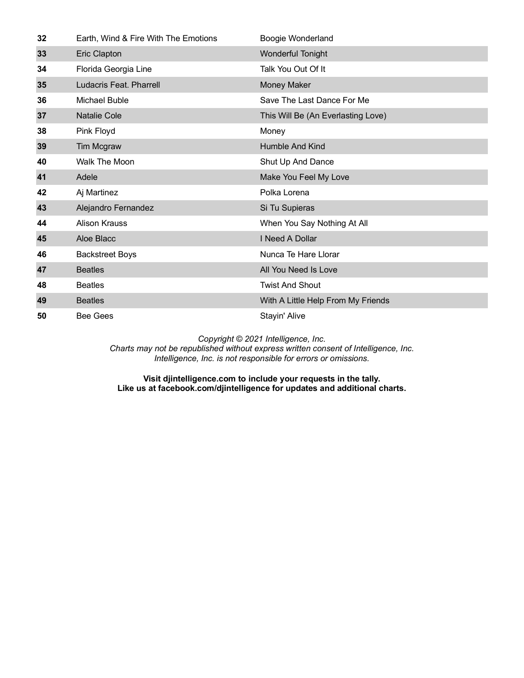| 32 | Earth, Wind & Fire With The Emotions | Boogie Wonderland                  |
|----|--------------------------------------|------------------------------------|
| 33 | Eric Clapton                         | <b>Wonderful Tonight</b>           |
| 34 | Florida Georgia Line                 | Talk You Out Of It                 |
| 35 | Ludacris Feat. Pharrell              | <b>Money Maker</b>                 |
| 36 | Michael Buble                        | Save The Last Dance For Me         |
| 37 | <b>Natalie Cole</b>                  | This Will Be (An Everlasting Love) |
| 38 | Pink Floyd                           | Money                              |
| 39 | Tim Mcgraw                           | <b>Humble And Kind</b>             |
| 40 | Walk The Moon                        | Shut Up And Dance                  |
| 41 | Adele                                | Make You Feel My Love              |
| 42 | Aj Martinez                          | Polka Lorena                       |
| 43 | Alejandro Fernandez                  | Si Tu Supieras                     |
| 44 | <b>Alison Krauss</b>                 | When You Say Nothing At All        |
| 45 | Aloe Blacc                           | I Need A Dollar                    |
| 46 | <b>Backstreet Boys</b>               | Nunca Te Hare Llorar               |
| 47 | <b>Beatles</b>                       | All You Need Is Love               |
| 48 | <b>Beatles</b>                       | <b>Twist And Shout</b>             |
| 49 | <b>Beatles</b>                       | With A Little Help From My Friends |
| 50 | <b>Bee Gees</b>                      | Stayin' Alive                      |

*Charts may not be republished without express written consent of Intelligence, Inc. Intelligence, Inc. is not responsible for errors or omissions.*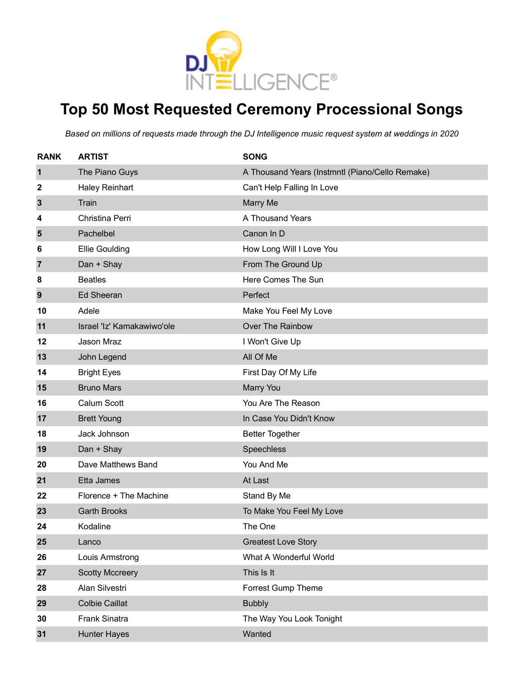

### **Top 50 Most Requested Ceremony Processional Songs**

| <b>RANK</b>    | <b>ARTIST</b>              | <b>SONG</b>                                     |
|----------------|----------------------------|-------------------------------------------------|
| $\mathbf 1$    | The Piano Guys             | A Thousand Years (Instmntl (Piano/Cello Remake) |
| 2              | <b>Haley Reinhart</b>      | Can't Help Falling In Love                      |
| $\mathbf{3}$   | Train                      | <b>Marry Me</b>                                 |
| 4              | Christina Perri            | A Thousand Years                                |
| 5              | Pachelbel                  | Canon In D                                      |
| 6              | <b>Ellie Goulding</b>      | How Long Will I Love You                        |
| $\overline{7}$ | Dan + Shay                 | From The Ground Up                              |
| 8              | <b>Beatles</b>             | Here Comes The Sun                              |
| 9              | <b>Ed Sheeran</b>          | Perfect                                         |
| 10             | Adele                      | Make You Feel My Love                           |
| 11             | Israel 'Iz' Kamakawiwo'ole | Over The Rainbow                                |
| 12             | Jason Mraz                 | I Won't Give Up                                 |
| 13             | John Legend                | All Of Me                                       |
| 14             | <b>Bright Eyes</b>         | First Day Of My Life                            |
| 15             | <b>Bruno Mars</b>          | <b>Marry You</b>                                |
| 16             | Calum Scott                | You Are The Reason                              |
| 17             | <b>Brett Young</b>         | In Case You Didn't Know                         |
| 18             | Jack Johnson               | <b>Better Together</b>                          |
| 19             | Dan + Shay                 | Speechless                                      |
| 20             | Dave Matthews Band         | You And Me                                      |
| 21             | Etta James                 | At Last                                         |
| 22             | Florence + The Machine     | Stand By Me                                     |
| 23             | <b>Garth Brooks</b>        | To Make You Feel My Love                        |
| 24             | Kodaline                   | The One                                         |
| 25             | Lanco                      | <b>Greatest Love Story</b>                      |
| 26             | Louis Armstrong            | What A Wonderful World                          |
| 27             | <b>Scotty Mccreery</b>     | This Is It                                      |
| 28             | Alan Silvestri             | <b>Forrest Gump Theme</b>                       |
| 29             | <b>Colbie Caillat</b>      | <b>Bubbly</b>                                   |
| 30             | Frank Sinatra              | The Way You Look Tonight                        |
| 31             | <b>Hunter Hayes</b>        | Wanted                                          |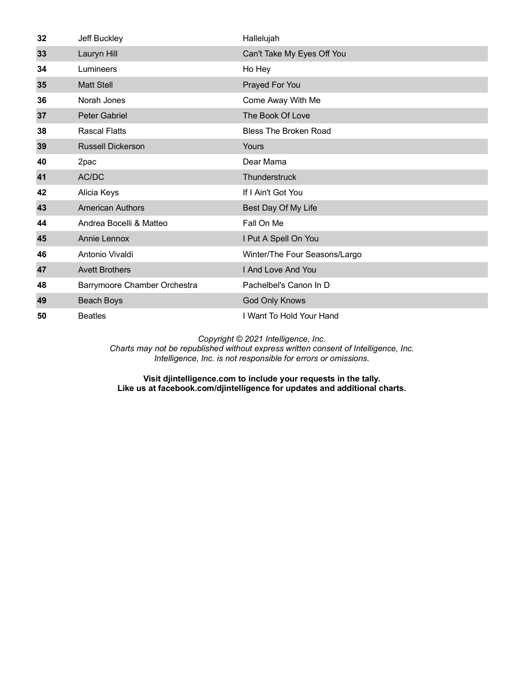| 32 | Jeff Buckley                 | Hallelujah                    |
|----|------------------------------|-------------------------------|
| 33 | Lauryn Hill                  | Can't Take My Eyes Off You    |
| 34 | Lumineers                    | Ho Hey                        |
| 35 | <b>Matt Stell</b>            | Prayed For You                |
| 36 | Norah Jones                  | Come Away With Me             |
| 37 | <b>Peter Gabriel</b>         | The Book Of Love              |
| 38 | <b>Rascal Flatts</b>         | <b>Bless The Broken Road</b>  |
| 39 | <b>Russell Dickerson</b>     | Yours                         |
| 40 | 2pac                         | Dear Mama                     |
| 41 | AC/DC                        | Thunderstruck                 |
| 42 | Alicia Keys                  | If I Ain't Got You            |
| 43 | <b>American Authors</b>      | Best Day Of My Life           |
| 44 | Andrea Bocelli & Matteo      | Fall On Me                    |
| 45 | <b>Annie Lennox</b>          | I Put A Spell On You          |
| 46 | Antonio Vivaldi              | Winter/The Four Seasons/Largo |
| 47 | <b>Avett Brothers</b>        | I And Love And You            |
| 48 | Barrymoore Chamber Orchestra | Pachelbel's Canon In D        |
| 49 | Beach Boys                   | God Only Knows                |
| 50 | <b>Beatles</b>               | I Want To Hold Your Hand      |

*Charts may not be republished without express written consent of Intelligence, Inc. Intelligence, Inc. is not responsible for errors or omissions.*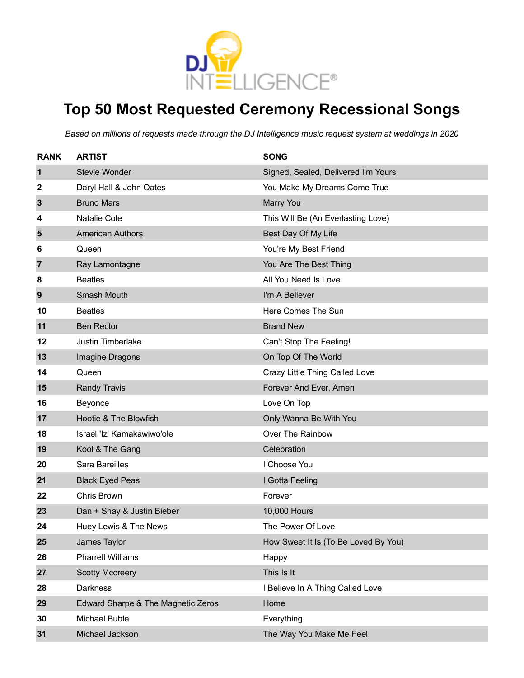

### **Top 50 Most Requested Ceremony Recessional Songs**

| <b>RANK</b>    | <b>ARTIST</b>                      | <b>SONG</b>                          |
|----------------|------------------------------------|--------------------------------------|
| 1              | Stevie Wonder                      | Signed, Sealed, Delivered I'm Yours  |
| 2              | Daryl Hall & John Oates            | You Make My Dreams Come True         |
| $\mathbf{3}$   | <b>Bruno Mars</b>                  | Marry You                            |
| 4              | Natalie Cole                       | This Will Be (An Everlasting Love)   |
| 5              | <b>American Authors</b>            | Best Day Of My Life                  |
| 6              | Queen                              | You're My Best Friend                |
| $\overline{7}$ | Ray Lamontagne                     | You Are The Best Thing               |
| 8              | <b>Beatles</b>                     | All You Need Is Love                 |
| 9              | Smash Mouth                        | I'm A Believer                       |
| 10             | <b>Beatles</b>                     | Here Comes The Sun                   |
| 11             | <b>Ben Rector</b>                  | <b>Brand New</b>                     |
| 12             | <b>Justin Timberlake</b>           | Can't Stop The Feeling!              |
| 13             | Imagine Dragons                    | On Top Of The World                  |
| 14             | Queen                              | Crazy Little Thing Called Love       |
| 15             | <b>Randy Travis</b>                | Forever And Ever, Amen               |
| 16             | Beyonce                            | Love On Top                          |
| 17             | Hootie & The Blowfish              | Only Wanna Be With You               |
| 18             | Israel 'Iz' Kamakawiwo'ole         | Over The Rainbow                     |
| 19             | Kool & The Gang                    | Celebration                          |
| 20             | Sara Bareilles                     | I Choose You                         |
| 21             | <b>Black Eyed Peas</b>             | I Gotta Feeling                      |
| 22             | Chris Brown                        | Forever                              |
| 23             | Dan + Shay & Justin Bieber         | 10,000 Hours                         |
| 24             | Huey Lewis & The News              | The Power Of Love                    |
| 25             | James Taylor                       | How Sweet It Is (To Be Loved By You) |
| 26             | <b>Pharrell Williams</b>           | Happy                                |
| 27             | <b>Scotty Mccreery</b>             | This Is It                           |
| 28             | <b>Darkness</b>                    | I Believe In A Thing Called Love     |
| 29             | Edward Sharpe & The Magnetic Zeros | Home                                 |
| 30             | Michael Buble                      | Everything                           |
| 31             | Michael Jackson                    | The Way You Make Me Feel             |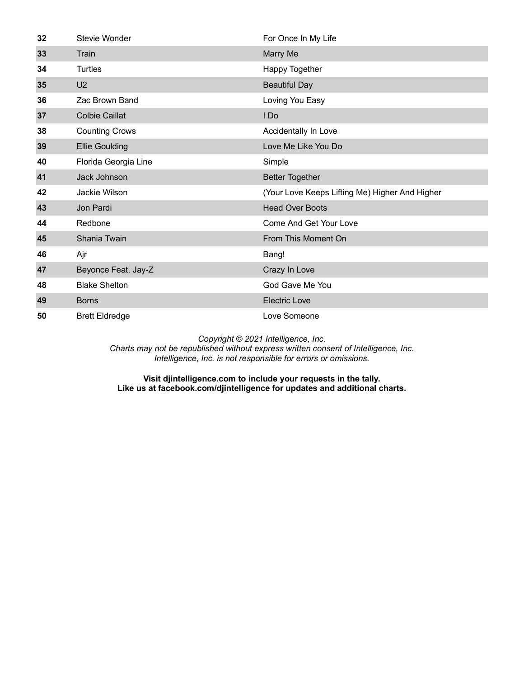| 32 | Stevie Wonder         | For Once In My Life                            |
|----|-----------------------|------------------------------------------------|
| 33 | Train                 | Marry Me                                       |
| 34 | <b>Turtles</b>        | Happy Together                                 |
| 35 | U <sub>2</sub>        | <b>Beautiful Day</b>                           |
| 36 | Zac Brown Band        | Loving You Easy                                |
| 37 | <b>Colbie Caillat</b> | I Do                                           |
| 38 | <b>Counting Crows</b> | Accidentally In Love                           |
| 39 | <b>Ellie Goulding</b> | Love Me Like You Do                            |
| 40 | Florida Georgia Line  | Simple                                         |
| 41 | Jack Johnson          | <b>Better Together</b>                         |
| 42 | Jackie Wilson         | (Your Love Keeps Lifting Me) Higher And Higher |
| 43 | Jon Pardi             | <b>Head Over Boots</b>                         |
| 44 | Redbone               | Come And Get Your Love                         |
| 45 | Shania Twain          | From This Moment On                            |
| 46 | Ajr                   | Bang!                                          |
| 47 | Beyonce Feat. Jay-Z   | Crazy In Love                                  |
| 48 | <b>Blake Shelton</b>  | God Gave Me You                                |
| 49 | <b>Borns</b>          | <b>Electric Love</b>                           |
| 50 | <b>Brett Eldredge</b> | Love Someone                                   |

*Charts may not be republished without express written consent of Intelligence, Inc. Intelligence, Inc. is not responsible for errors or omissions.*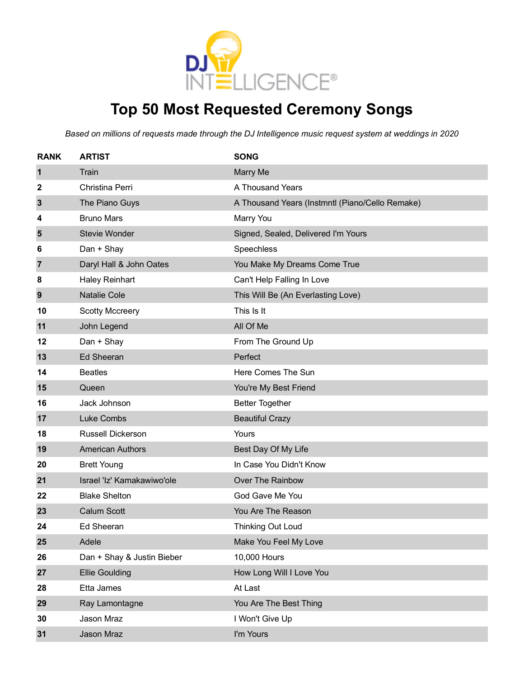

### **Top 50 Most Requested Ceremony Songs**

| <b>RANK</b> | <b>ARTIST</b>              | <b>SONG</b>                                     |
|-------------|----------------------------|-------------------------------------------------|
| 1           | Train                      | Marry Me                                        |
| 2           | Christina Perri            | A Thousand Years                                |
| 3           | The Piano Guys             | A Thousand Years (Instmntl (Piano/Cello Remake) |
| 4           | <b>Bruno Mars</b>          | Marry You                                       |
| 5           | <b>Stevie Wonder</b>       | Signed, Sealed, Delivered I'm Yours             |
| 6           | Dan + Shay                 | Speechless                                      |
| 7           | Daryl Hall & John Oates    | You Make My Dreams Come True                    |
| 8           | <b>Haley Reinhart</b>      | Can't Help Falling In Love                      |
| 9           | <b>Natalie Cole</b>        | This Will Be (An Everlasting Love)              |
| 10          | <b>Scotty Mccreery</b>     | This Is It                                      |
| 11          | John Legend                | All Of Me                                       |
| 12          | Dan + Shay                 | From The Ground Up                              |
| 13          | <b>Ed Sheeran</b>          | Perfect                                         |
| 14          | <b>Beatles</b>             | Here Comes The Sun                              |
| 15          | Queen                      | You're My Best Friend                           |
| 16          | Jack Johnson               | <b>Better Together</b>                          |
| 17          | <b>Luke Combs</b>          | <b>Beautiful Crazy</b>                          |
| 18          | <b>Russell Dickerson</b>   | Yours                                           |
| 19          | <b>American Authors</b>    | Best Day Of My Life                             |
| 20          | <b>Brett Young</b>         | In Case You Didn't Know                         |
| 21          | Israel 'Iz' Kamakawiwo'ole | Over The Rainbow                                |
| 22          | <b>Blake Shelton</b>       | God Gave Me You                                 |
| 23          | <b>Calum Scott</b>         | You Are The Reason                              |
| 24          | Ed Sheeran                 | <b>Thinking Out Loud</b>                        |
| 25          | Adele                      | Make You Feel My Love                           |
| 26          | Dan + Shay & Justin Bieber | 10,000 Hours                                    |
| 27          | <b>Ellie Goulding</b>      | How Long Will I Love You                        |
| 28          | Etta James                 | At Last                                         |
| 29          | Ray Lamontagne             | You Are The Best Thing                          |
| 30          | Jason Mraz                 | I Won't Give Up                                 |
| 31          | Jason Mraz                 | I'm Yours                                       |
|             |                            |                                                 |